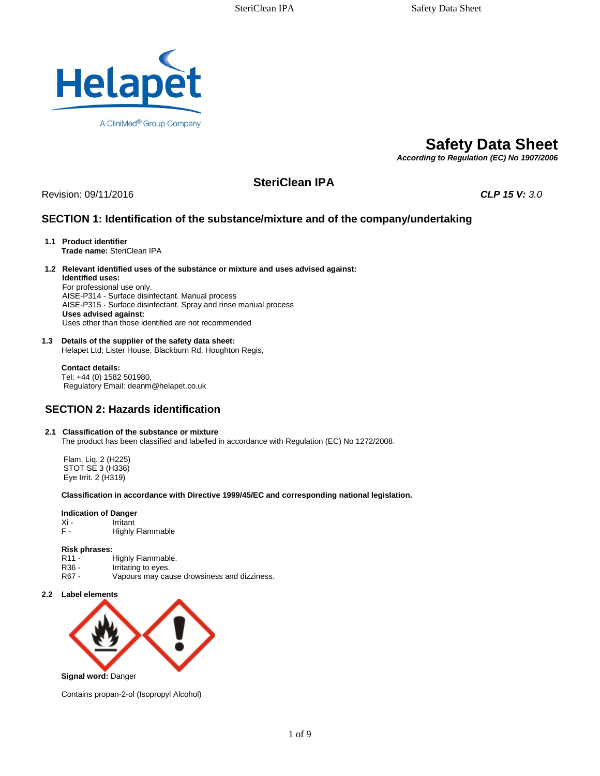

# **Safety Data Sheet**

*According to Regulation (EC) No 1907/2006* 

# **SteriClean IPA**

Revision: 09/11/2016 *CLP 15 V: 3.0*

# **SECTION 1: Identification of the substance/mixture and of the company/undertaking**

- **1.1 Product identifier Trade name:** SteriClean IPA
- **1.2 Relevant identified uses of the substance or mixture and uses advised against: Identified uses:**

For professional use only. AISE-P314 - Surface disinfectant. Manual process AISE-P315 - Surface disinfectant. Spray and rinse manual process **Uses advised against:**  Uses other than those identified are not recommended

### **1.3 Details of the supplier of the safety data sheet:**

Helapet Ltd; Lister House, Blackburn Rd, Houghton Regis,

 **Contact details:** Tel: +44 (0) 1582 501980, Regulatory Email: deanm@helapet.co.uk

# **SECTION 2: Hazards identification**

#### **2.1 Classification of the substance or mixture**

The product has been classified and labelled in accordance with Regulation (EC) No 1272/2008.

 Flam. Liq. 2 (H225) STOT SE 3 (H336) Eye Irrit. 2 (H319)

#### **Classification in accordance with Directive 1999/45/EC and corresponding national legislation.**

# **Indication of Danger**<br>Xi - **Irritant**

- Xi Irritant<br>F Highly
- Highly Flammable

#### **Risk phrases:**

- R11 Highly Flammable.<br>R36 Irritating to eves.
- R36 Irritating to eyes.<br>R67 Vapours may cau
- Vapours may cause drowsiness and dizziness.
- **2.2 Label elements**



Contains propan-2-ol (Isopropyl Alcohol)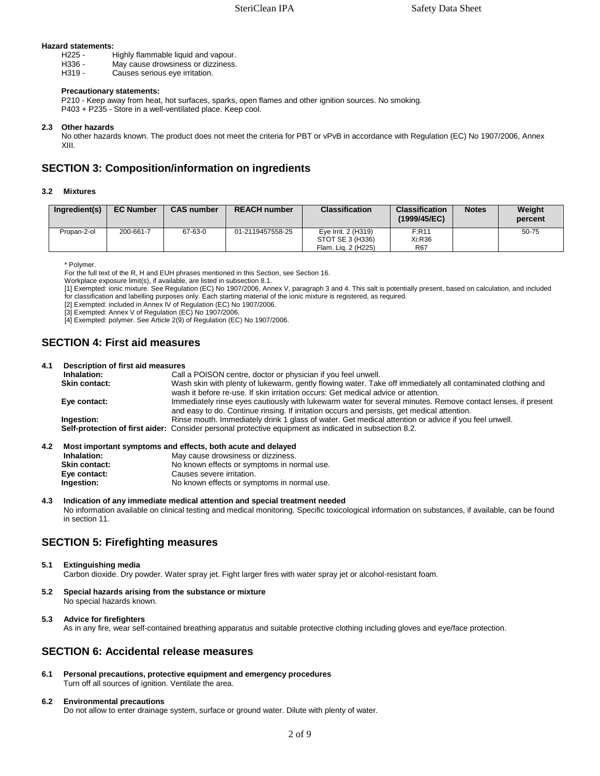# **Hazard statements:**

- H225 Highly flammable liquid and vapour.<br>H336 May cause drowsiness or dizziness.
- H336 May cause drowsiness or dizziness.<br>H319 Causes serious eve irritation.
- Causes serious eye irritation.

## **Precautionary statements:**

 P210 - Keep away from heat, hot surfaces, sparks, open flames and other ignition sources. No smoking. P403 + P235 - Store in a well-ventilated place. Keep cool.

### **2.3 Other hazards**

 No other hazards known. The product does not meet the criteria for PBT or vPvB in accordance with Regulation (EC) No 1907/2006, Annex XIII.

# **SECTION 3: Composition/information on ingredients**

## **3.2 Mixtures**

| Ingredient(s) | <b>EC Number</b> | <b>CAS number</b> | <b>REACH number</b> | <b>Classification</b>                                          | <b>Classification</b><br>(1999/45/EC) | <b>Notes</b> | Weight<br>percent |
|---------------|------------------|-------------------|---------------------|----------------------------------------------------------------|---------------------------------------|--------------|-------------------|
| Propan-2-ol   | 200-661-7        | 67-63-0           | 01-2119457558-25    | Eve Irrit. 2 (H319)<br>STOT SE 3 (H336)<br>Flam. Lig. 2 (H225) | F:R11<br>Xi:R36<br><b>R67</b>         |              | $50 - 75$         |

\* Polymer.

For the full text of the R, H and EUH phrases mentioned in this Section, see Section 16.

Workplace exposure limit(s), if available, are listed in subsection 8.1.

 [1] Exempted: ionic mixture. See Regulation (EC) No 1907/2006, Annex V, paragraph 3 and 4. This salt is potentially present, based on calculation, and included for classification and labelling purposes only. Each starting material of the ionic mixture is registered, as required.

[2] Exempted: included in Annex IV of Regulation (EC) No 1907/2006.

[3] Exempted: Annex V of Regulation (EC) No 1907/2006.

[4] Exempted: polymer. See Article 2(9) of Regulation (EC) No 1907/2006.

# **SECTION 4: First aid measures**

#### **4.1 Description of first aid measures**

| _________________________ |                                                                                                               |
|---------------------------|---------------------------------------------------------------------------------------------------------------|
| Inhalation:               | Call a POISON centre, doctor or physician if you feel unwell.                                                 |
| <b>Skin contact:</b>      | Wash skin with plenty of lukewarm, gently flowing water. Take off immediately all contaminated clothing and   |
|                           | wash it before re-use. If skin irritation occurs: Get medical advice or attention.                            |
| Eye contact:              | Immediately rinse eyes cautiously with lukewarm water for several minutes. Remove contact lenses, if present  |
|                           | and easy to do. Continue rinsing. If irritation occurs and persists, get medical attention.                   |
| Ingestion:                | Rinse mouth. Immediately drink 1 glass of water. Get medical attention or advice if you feel unwell.          |
|                           | <b>Self-protection of first aider:</b> Consider personal protective equipment as indicated in subsection 8.2. |
|                           |                                                                                                               |

#### **4.2 Most important symptoms and effects, both acute and delayed**

| Inhalation:   | May cause drowsiness or dizziness.          |
|---------------|---------------------------------------------|
| Skin contact: | No known effects or symptoms in normal use. |
| Eye contact:  | Causes severe irritation.                   |
| Ingestion:    | No known effects or symptoms in normal use. |
|               |                                             |

#### **4.3 Indication of any immediate medical attention and special treatment needed**  No information available on clinical testing and medical monitoring. Specific toxicological information on substances, if available, can be found

in section 11.

# **SECTION 5: Firefighting measures**

### **5.1 Extinguishing media**

Carbon dioxide. Dry powder. Water spray jet. Fight larger fires with water spray jet or alcohol-resistant foam.

**5.2 Special hazards arising from the substance or mixture**  No special hazards known.

#### **5.3 Advice for firefighters**

As in any fire, wear self-contained breathing apparatus and suitable protective clothing including gloves and eye/face protection.

# **SECTION 6: Accidental release measures**

**6.1 Personal precautions, protective equipment and emergency procedures**  Turn off all sources of ignition. Ventilate the area.

## **6.2 Environmental precautions**

Do not allow to enter drainage system, surface or ground water. Dilute with plenty of water.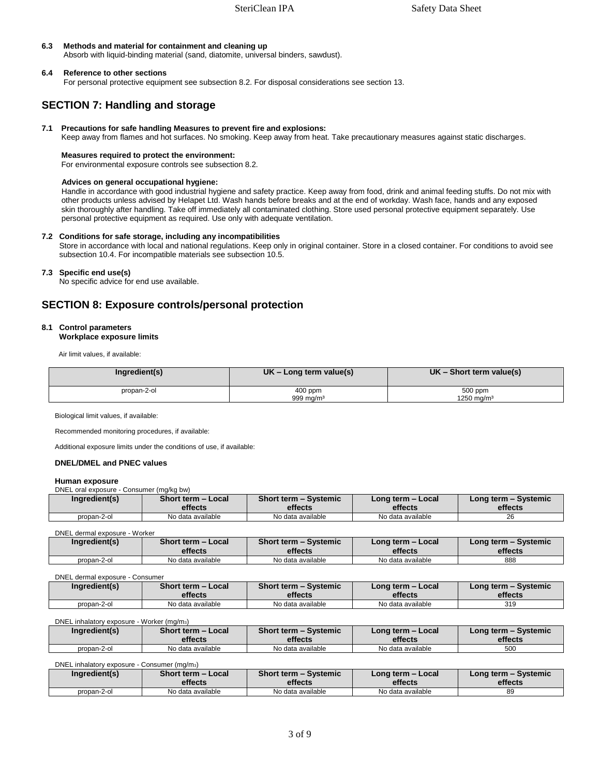### **6.3 Methods and material for containment and cleaning up**

Absorb with liquid-binding material (sand, diatomite, universal binders, sawdust).

### **6.4 Reference to other sections**

For personal protective equipment see subsection 8.2. For disposal considerations see section 13.

# **SECTION 7: Handling and storage**

## **7.1 Precautions for safe handling Measures to prevent fire and explosions:**

Keep away from flames and hot surfaces. No smoking. Keep away from heat. Take precautionary measures against static discharges.

### **Measures required to protect the environment:**

For environmental exposure controls see subsection 8.2.

### **Advices on general occupational hygiene:**

 Handle in accordance with good industrial hygiene and safety practice. Keep away from food, drink and animal feeding stuffs. Do not mix with other products unless advised by Helapet Ltd. Wash hands before breaks and at the end of workday. Wash face, hands and any exposed skin thoroughly after handling. Take off immediately all contaminated clothing. Store used personal protective equipment separately. Use personal protective equipment as required. Use only with adequate ventilation.

### **7.2 Conditions for safe storage, including any incompatibilities**

 Store in accordance with local and national regulations. Keep only in original container. Store in a closed container. For conditions to avoid see subsection 10.4. For incompatible materials see subsection 10.5.

### **7.3 Specific end use(s)**

No specific advice for end use available.

# **SECTION 8: Exposure controls/personal protection**

#### **8.1 Control parameters**

### **Workplace exposure limits**

Air limit values, if available:

| Ingredient(s) | $UK$ – Long term value(s) | $UK - Short term value(s)$        |
|---------------|---------------------------|-----------------------------------|
| propan-2-ol   | $400$ ppm<br>999 mg/m $3$ | 500 ppm<br>1250 mg/m <sup>3</sup> |

Biological limit values, if available:

Recommended monitoring procedures, if available:

Additional exposure limits under the conditions of use, if available:

#### **DNEL/DMEL and PNEC values**

#### **Human exposure**

DNEL oral exposure - Consumer (mg/kg bw)

| Ingredient(s) | Short term - Local | Short term - Systemic | Long term - Local | Long term - Systemic |
|---------------|--------------------|-----------------------|-------------------|----------------------|
|               | effects            | effects               | effects           | effects              |
| propan-2-ol   | No data available  | No data available     | No data available | 26                   |

#### DNEL dermal exposure - Worker

| Ingredient(s) | Short term - Local<br>effects | Short term - Systemic<br>effects | Long term - Local<br>effects | Long term – Systemic<br>effects |
|---------------|-------------------------------|----------------------------------|------------------------------|---------------------------------|
|               |                               |                                  |                              |                                 |
| propan-2-ol   | No data available             | No data available                | No data available            | 888                             |

#### DNEL dermal exposure - Consumer

| Ingredient(s) | <b>Short term - Local</b> | Short term - Systemic | Long term - Local | Long term - Systemic |
|---------------|---------------------------|-----------------------|-------------------|----------------------|
|               | effects                   | effects               | effects           | effects              |
| propan-2-ol   | No data available         | No data available     | No data available | 319                  |

DNEL inhalatory exposure - Worker (mg/m3)

| Ingredient(s) | Short term - Local<br>effects | Short term - Systemic<br>effects | Long term - Local<br>effects | Long term – Systemic<br>effects |
|---------------|-------------------------------|----------------------------------|------------------------------|---------------------------------|
|               |                               |                                  |                              |                                 |
| propan-2-ol   | No data available             | No data available                | No data available            | 500                             |

| DNEL inhalatory exposure - Consumer (mg/m <sub>3</sub> ) |                    |                       |                   |                      |
|----------------------------------------------------------|--------------------|-----------------------|-------------------|----------------------|
| Ingredient(s)                                            | Short term - Local | Short term - Systemic | Long term - Local | Long term – Systemic |
|                                                          | effects            | effects               | effects           | effects              |
| propan-2-ol                                              | No data available  | No data available     | No data available | 89                   |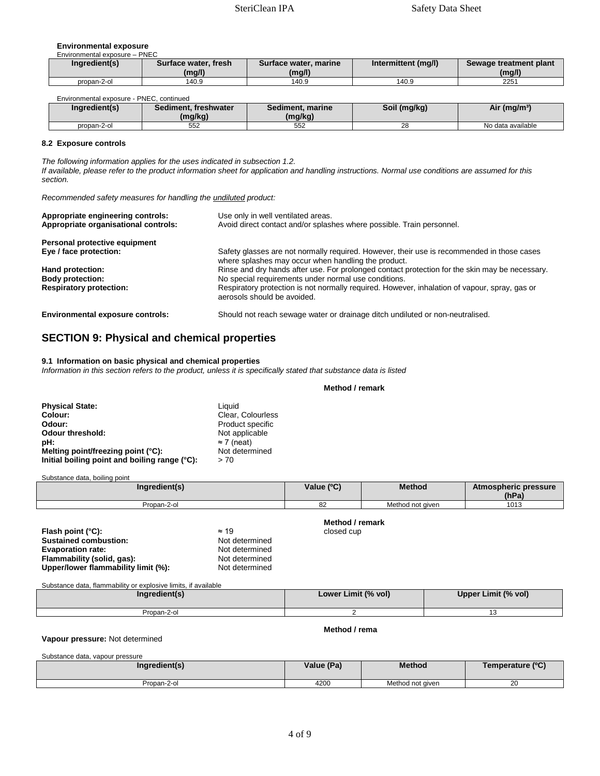#### **Environmental exposure**

| Ingredient(s) | Surface water, fresh | Surface water, marine | Intermittent (mg/l) | Sewage treatment plant |
|---------------|----------------------|-----------------------|---------------------|------------------------|
|               | (mg/l)               | (mg/l)                |                     | (mg/l)                 |
| propan-2-ol   | 140.9                | 140.9                 | 140.9               | 2251                   |
|               |                      |                       |                     |                        |

| redient(s)<br>Ina <sup>.</sup> | <b>Bod</b><br>freshwater<br>liment.<br>(ma/ka) | Sediment, marine<br>(mg/kg) | Soil (mg/kg) | (mg/m <sup>3</sup> )<br>All |
|--------------------------------|------------------------------------------------|-----------------------------|--------------|-----------------------------|
| propan-2-ol                    | 552                                            | 552                         | ററ<br>20     | No data available           |

#### **8.2 Exposure controls**

*The following information applies for the uses indicated in subsection 1.2. If available, please refer to the product information sheet for application and handling instructions. Normal use conditions are assumed for this section.* 

*Recommended safety measures for handling the undiluted product:* 

| Appropriate engineering controls:<br>Appropriate organisational controls: | Use only in well ventilated areas.<br>Avoid direct contact and/or splashes where possible. Train personnel.                                       |
|---------------------------------------------------------------------------|---------------------------------------------------------------------------------------------------------------------------------------------------|
| Personal protective equipment                                             |                                                                                                                                                   |
| Eye / face protection:                                                    | Safety glasses are not normally required. However, their use is recommended in those cases<br>where splashes may occur when handling the product. |
| Hand protection:                                                          | Rinse and dry hands after use. For prolonged contact protection for the skin may be necessary.                                                    |
| <b>Body protection:</b>                                                   | No special requirements under normal use conditions.                                                                                              |
| <b>Respiratory protection:</b>                                            | Respiratory protection is not normally required. However, inhalation of vapour, spray, gas or<br>aerosols should be avoided.                      |
|                                                                           |                                                                                                                                                   |

**Environmental exposure controls:** Should not reach sewage water or drainage ditch undiluted or non-neutralised.

## **SECTION 9: Physical and chemical properties**

#### **9.1 Information on basic physical and chemical properties**

*Information in this section refers to the product, unless it is specifically stated that substance data is listed*

#### **Method / remark**

| <b>Physical State:</b>                        | Liquid             |
|-----------------------------------------------|--------------------|
| Colour:                                       | Clear. Colourless  |
| Odour:                                        | Product specific   |
| <b>Odour threshold:</b>                       | Not applicable     |
| pH:                                           | $\approx$ 7 (neat) |
| Melting point/freezing point (°C):            | Not determined     |
| Initial boiling point and boiling range (°C): | > 70               |

 $\overline{\phantom{a}}$ ubstance data, boiling point

| Substance data, bolling point |                 |                  |                               |
|-------------------------------|-----------------|------------------|-------------------------------|
| Ingredient(s)                 | Value (°C)      | <b>Method</b>    | Atmospheric pressure<br>(hPa) |
| Propan-2-ol                   | 82              | Method not aiven | 1013                          |
|                               | Method / remark |                  |                               |

| $\approx$ 19   |
|----------------|
| Not determined |
| Not determined |
| Not determined |
| Not determined |
|                |

**Flash point (°C):** ≈ 19 closed cup

Substance data, flammability or explosive limits, if available

| Ingredient(s) | Lower Limit (% vol) | Upper Limit (% vol) |
|---------------|---------------------|---------------------|
| Propan-2-ol   |                     | .                   |

**Method / rema**

#### **Vapour pressure:** Not determined

Substance data, vapour pressure

Г

| Ingredient(s) | Value (Pa) | <b>Method</b>    | Temperature (°C) |
|---------------|------------|------------------|------------------|
| Propan-2-ol   | 4200       | Method not given | oc<br>26         |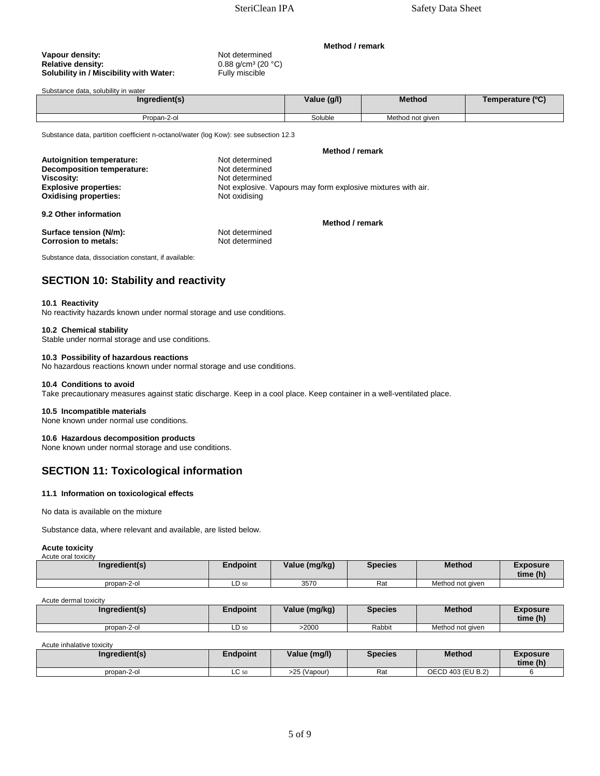0.88 g/cm<sup>3</sup> (20 °C)<br>Fully miscible

# **Vapour density:**  $\blacksquare$  Not determined<br> **Relative density:**  $\blacksquare$  0.88 g/cm<sup>3</sup> (20 ° **Solubility in / Miscibility with Water:**

# Substance data, solubility in water

| Ingredient(s) | Value (g/l) | <b>Method</b>    | Temperature (°C) |
|---------------|-------------|------------------|------------------|
| Propan-2-ol   | Soluble     | Method not given |                  |

Substance data, partition coefficient n-octanol/water (log Kow): see subsection 12.3

|                                   | Method / remark                                              |
|-----------------------------------|--------------------------------------------------------------|
| <b>Autoignition temperature:</b>  | Not determined                                               |
| <b>Decomposition temperature:</b> | Not determined                                               |
| Viscosity:                        | Not determined                                               |
| <b>Explosive properties:</b>      | Not explosive. Vapours may form explosive mixtures with air. |
| <b>Oxidising properties:</b>      | Not oxidising                                                |
| 9.2 Other information             |                                                              |

**Surface tension (N/m): Not determined Corrosion to metals: Not determined Corrosion to metals: Not determined Corrosion to metals:** 

Substance data, dissociation constant, if available:

# **SECTION 10: Stability and reactivity**

#### **10.1 Reactivity**

No reactivity hazards known under normal storage and use conditions.

#### **10.2 Chemical stability**

Stable under normal storage and use conditions.

#### **10.3 Possibility of hazardous reactions**

No hazardous reactions known under normal storage and use conditions.

#### **10.4 Conditions to avoid**

Take precautionary measures against static discharge. Keep in a cool place. Keep container in a well-ventilated place.

#### **10.5 Incompatible materials**

None known under normal use conditions.

#### **10.6 Hazardous decomposition products**

None known under normal storage and use conditions.

# **SECTION 11: Toxicological information**

#### **11.1 Information on toxicological effects**

No data is available on the mixture

Substance data, where relevant and available, are listed below.

#### **Acute toxicity**

| Acute oral toxicity |                 |               |         |                  |                             |  |  |
|---------------------|-----------------|---------------|---------|------------------|-----------------------------|--|--|
| Ingredient(s)       | <b>Endpoint</b> | Value (mg/kg) | Species | <b>Method</b>    | <b>Exposure</b><br>time (h) |  |  |
| propan-2-ol         | LD 50           | 3570          | Rat     | Method not given |                             |  |  |

#### Acute dermal toxicity

| Ingredient(s) | Endpoint | Value (mg/kg) | Species | <b>Method</b>    | Exposure<br>time (h) |
|---------------|----------|---------------|---------|------------------|----------------------|
| propan-2-ol   | LD 50    | >2000         | Rabbit  | Method not given |                      |

Acute inhalative toxicity

| Ingredient(s) | Endpoint | Value (mg/l) | <b>Species</b> | <b>Method</b>     | Exposure<br>time (h) |
|---------------|----------|--------------|----------------|-------------------|----------------------|
| propan-2-ol   | LC 50    | >25 (Vapour) | Rat            | OECD 403 (EU B.2) |                      |

**Method / remark**

**Method / remark**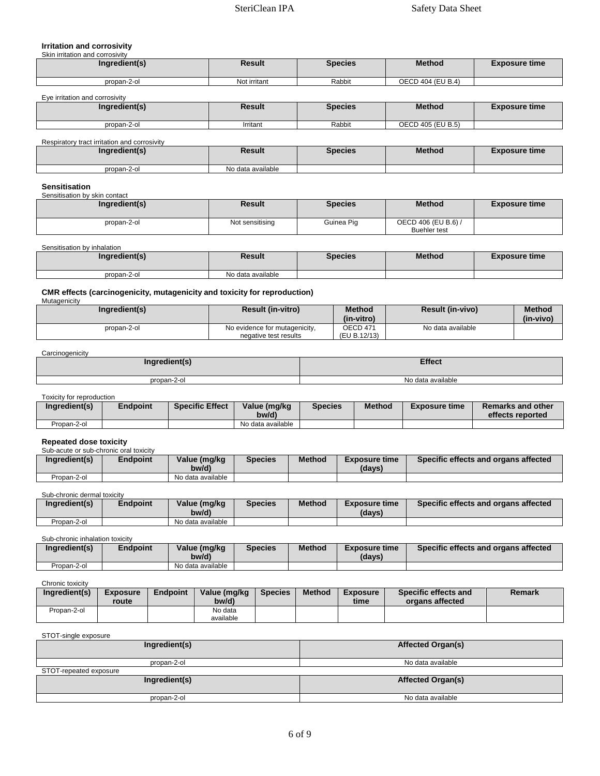## **Irritation and corrosivity**

| Skin irritation and corrosivity |  |
|---------------------------------|--|

| Ingredient(s) | Result       | <b>Species</b> | <b>Method</b>     | <b>Exposure time</b> |
|---------------|--------------|----------------|-------------------|----------------------|
| propan-2-ol   | Not irritant | Rabbit         | OECD 404 (EU B.4) |                      |

#### Eye irritation and corrosivity

| Ingredient(s) | Result   | <b>Species</b> | <b>Method</b>     | <b>Exposure time</b> |
|---------------|----------|----------------|-------------------|----------------------|
| propan-2-ol   | Irritant | Rabbit         | OECD 405 (EU B.5) |                      |

Respiratory tract irritation and corrosivity

| Ingredient(s) | Result            | <b>Species</b> | <b>Method</b> | <b>Exposure time</b> |
|---------------|-------------------|----------------|---------------|----------------------|
| propan-2-ol   | No data available |                |               |                      |

#### **Sensitisation**  Sensitisation by skin contact

ℾ

| Ingredient(s) | Result          | <b>Species</b> | <b>Method</b>                              | <b>Exposure time</b> |
|---------------|-----------------|----------------|--------------------------------------------|----------------------|
| propan-2-ol   | Not sensitising | Guinea Pig     | OECD 406 (EU B.6) /<br><b>Buehler</b> test |                      |

Sensitisation by inhalation

| Ingredient(s) | Result            | <b>Species</b> | <b>Method</b> | <b>Exposure time</b> |
|---------------|-------------------|----------------|---------------|----------------------|
| propan-2-ol   | No data available |                |               |                      |

#### **CMR effects (carcinogenicity, mutagenicity and toxicity for reproduction)**

| Mutagenicity  |                               |               |                         |               |
|---------------|-------------------------------|---------------|-------------------------|---------------|
| Ingredient(s) | <b>Result (in-vitro)</b>      | <b>Method</b> | <b>Result (in-vivo)</b> | <b>Method</b> |
|               |                               | (in-vitro)    |                         | (in-vivo)     |
| propan-2-ol   | No evidence for mutagenicity, | OECD 471      | No data available       |               |
|               | negative test results         | (EU B.12/13)  |                         |               |

**Carcinogenicity** 

| Ingredient(s) | <b>Effect</b>     |
|---------------|-------------------|
| propan-2-ol   | No data available |

Toxicity for reproduction

| Ingredient(s) | <b>Endpoint</b> | <b>Specific Effect</b> | Value (mg/kg<br>bw/d) | <b>Species</b> | <b>Method</b> | <b>Exposure time</b> | <b>Remarks and other</b><br>effects reported |
|---------------|-----------------|------------------------|-----------------------|----------------|---------------|----------------------|----------------------------------------------|
| Propan-2-ol   |                 |                        | No data available     |                |               |                      |                                              |

#### **Repeated dose toxicity**

| Sub-acute or sub-chronic oral toxicity |          |                   |                |        |                      |                                      |
|----------------------------------------|----------|-------------------|----------------|--------|----------------------|--------------------------------------|
| Ingredient(s)                          | Endpoint | Value (mg/kg      | <b>Species</b> | Method | <b>Exposure time</b> | Specific effects and organs affected |
|                                        |          | bw/d)             |                |        | (days)               |                                      |
| Propan-2-ol                            |          | No data available |                |        |                      |                                      |

Sub-chronic dermal toxicity

| Ingredient(s) | Endpoint | Value (mg/kg<br>bw/d) | <b>Species</b> | <b>Method</b> | <b>Exposure time</b><br>(davs) | Specific effects and organs affected |
|---------------|----------|-----------------------|----------------|---------------|--------------------------------|--------------------------------------|
| Propan-2-ol   |          | No data available     |                |               |                                |                                      |

Sub-chronic inhalation toxicity

| Ingredient(s) | Endpoint | Value (mg/kg<br>bw/d) | Species | <b>Method</b> | <b>Exposure time</b><br>(days) | Specific effects and organs affected |
|---------------|----------|-----------------------|---------|---------------|--------------------------------|--------------------------------------|
| Propan-2-ol   |          | No data available     |         |               |                                |                                      |

### Chronic toxicity

| Ingredient(s) | <b>Exposure</b><br>route | <b>Endpoint</b> | Value (mg/kg<br>bw/d) | <b>Species</b> | <b>Method</b> | <b>Exposure</b><br>time | Specific effects and<br>organs affected | Remark |
|---------------|--------------------------|-----------------|-----------------------|----------------|---------------|-------------------------|-----------------------------------------|--------|
| Propan-2-ol   |                          |                 | No data               |                |               |                         |                                         |        |
|               |                          |                 | available             |                |               |                         |                                         |        |

#### STOT-single exposure

| Ingredient(s)          | <b>Affected Organ(s)</b> |
|------------------------|--------------------------|
| propan-2-ol            | No data available        |
| STOT-repeated exposure |                          |
| Ingredient(s)          | <b>Affected Organ(s)</b> |
| propan-2-ol            | No data available        |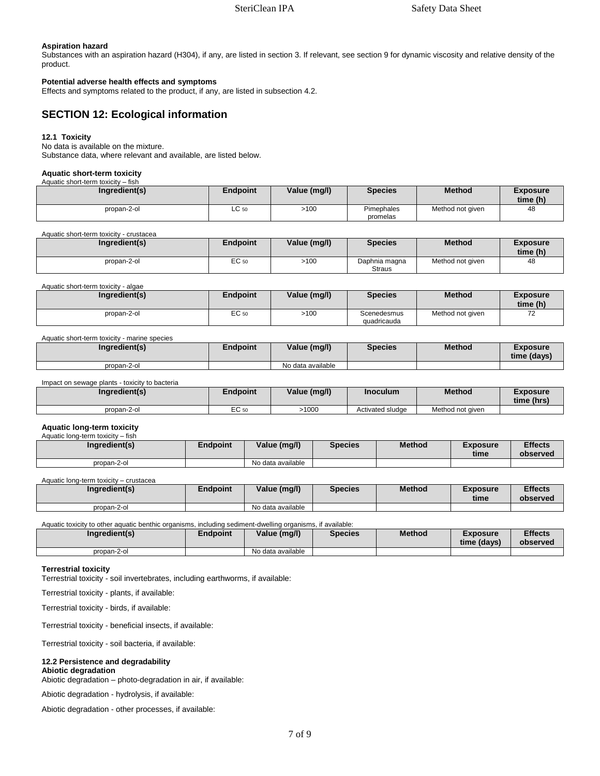#### **Aspiration hazard**

Substances with an aspiration hazard (H304), if any, are listed in section 3. If relevant, see section 9 for dynamic viscosity and relative density of the product.

### **Potential adverse health effects and symptoms**

Effects and symptoms related to the product, if any, are listed in subsection 4.2.

# **SECTION 12: Ecological information**

#### **12.1 Toxicity**

No data is available on the mixture. Substance data, where relevant and available, are listed below.

#### **Aquatic short-term toxicity**

Aquatic short-term toxicity – fish

| Ingredient(s) | Endpoint | Value (mg/l) | <b>Species</b>         | <b>Method</b>    | <b>Exposure</b><br>time (h) |
|---------------|----------|--------------|------------------------|------------------|-----------------------------|
| propan-2-ol   | LC 50    | >100         | Pimephales<br>promelas | Method not given | 48                          |

#### Aquatic short-term toxicity - crustacea

| Ingredient(s) | Endpoint | Value (mg/l) | <b>Species</b>                 | <b>Method</b>    | Exposure<br>time (h) |
|---------------|----------|--------------|--------------------------------|------------------|----------------------|
| propan-2-ol   | EC 50    | >100         | Daphnia magna<br><b>Straus</b> | Method not given | 48                   |

Aquatic short-term toxicity - algae

| Ingredient(s) | Endpoint | Value (mg/l) | <b>Species</b>             | <b>Method</b>    | Exposure<br>time (h)            |
|---------------|----------|--------------|----------------------------|------------------|---------------------------------|
| propan-2-ol   | EC 50    | >100         | Scenedesmus<br>quadricauda | Method not given | $\overline{\phantom{a}}$<br>ے ، |

#### Aquatic short-term toxicity - marine species

| Ingredient(s) | Endpoint | Value (mg/l)      | <b>Species</b> | <b>Method</b> | Exposure<br>time (davs) |
|---------------|----------|-------------------|----------------|---------------|-------------------------|
| propan-2-ol   |          | No data available |                |               |                         |

Impact on sewage plants - toxicity to bacteria

| Ingredient(s) | <b>Endpoint</b> | Value (mg/l) | Inoculum         | <b>Method</b>    | Exposure<br>time (hrs) |
|---------------|-----------------|--------------|------------------|------------------|------------------------|
| propan-2-ol   | EC 50           | .1000        | Activated sludge | Method not given |                        |

#### **Aquatic long-term toxicity**

| Aquatic long-term toxicity - fish |          |                   |                |               |                         |                            |
|-----------------------------------|----------|-------------------|----------------|---------------|-------------------------|----------------------------|
| Ingredient(s)                     | Endpoint | Value (mg/l)      | <b>Species</b> | <b>Method</b> | <b>Exposure</b><br>time | <b>Effects</b><br>observed |
| propan-2-ol                       |          | No data available |                |               |                         |                            |

Aquatic long-term toxicity – crustacea

| Ingredient(s) | Endpoint | Value (mg/l)      | <b>Species</b> | <b>Method</b> | <b>Exposure</b><br>time | <b>Effects</b><br>observed |
|---------------|----------|-------------------|----------------|---------------|-------------------------|----------------------------|
| propan-2-ol   |          | No data available |                |               |                         |                            |

Aquatic toxicity to other aquatic benthic organisms, including sediment-dwelling organisms, if available:

| Ingredient(s) | Endpoint | Value (mg/l)      | <b>Species</b> | <b>Method</b> | Exposure<br>time (davs) | <b>Effects</b><br>observed |
|---------------|----------|-------------------|----------------|---------------|-------------------------|----------------------------|
| propan-2-ol   |          | No data available |                |               |                         |                            |

#### **Terrestrial toxicity**

Terrestrial toxicity - soil invertebrates, including earthworms, if available:

Terrestrial toxicity - plants, if available:

Terrestrial toxicity - birds, if available:

Terrestrial toxicity - beneficial insects, if available:

Terrestrial toxicity - soil bacteria, if available:

#### **12.2 Persistence and degradability Abiotic degradation**

Abiotic degradation – photo-degradation in air, if available:

Abiotic degradation - hydrolysis, if available:

Abiotic degradation - other processes, if available: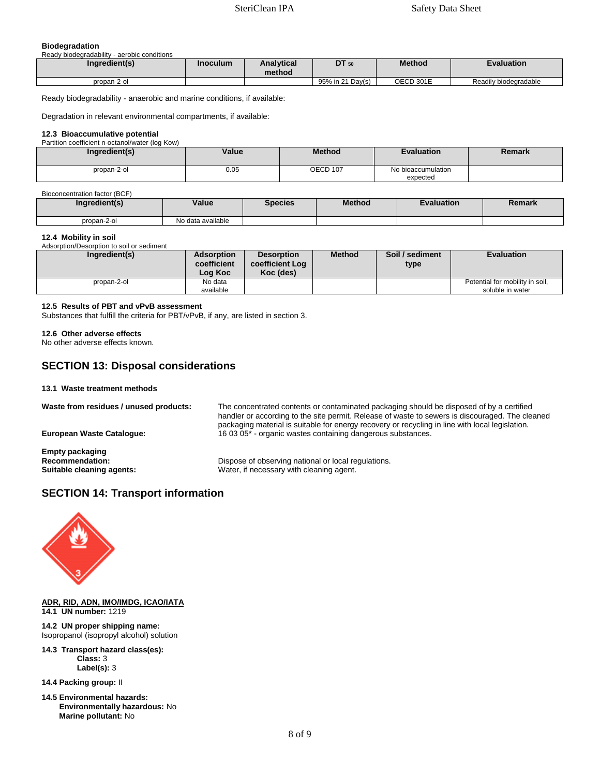### **Biodegradation**

Ready biodegradability - aerobic conditions

| Ingredient(s) | <b>Inoculum</b> | Analvtical<br>method | DT 50            | <b>Method</b> | Evaluation            |
|---------------|-----------------|----------------------|------------------|---------------|-----------------------|
| propan-2-ol   |                 |                      | 95% in 21 Day(s) | OECD 301E     | Readily biodegradable |

Ready biodegradability - anaerobic and marine conditions, if available:

Degradation in relevant environmental compartments, if available:

#### **12.3 Bioaccumulative potential**

Partition coefficient n-octanol/water (log Kow) **Ingredient(s) Value Method Evaluation Remark** propan-2-ol 0.05 OECD 107 No bioaccumulation expected

#### Bioconcentration factor (BCF)

| Ingredient(s) | Value             | <b>Species</b> | <b>Method</b> | <b>Evaluation</b> | Remark |
|---------------|-------------------|----------------|---------------|-------------------|--------|
| propan-2-ol   | No data available |                |               |                   |        |

#### **12.4 Mobility in soil**

Adsorption/Desorption to soil or sediment

| Ingredient(s) | <b>Adsorption</b><br>coefficient<br>Log Koc | <b>Desorption</b><br>coefficient Log<br>Koc (des) | <b>Method</b> | Soil / sediment<br>type | <b>Evaluation</b>               |
|---------------|---------------------------------------------|---------------------------------------------------|---------------|-------------------------|---------------------------------|
| propan-2-ol   | No data                                     |                                                   |               |                         | Potential for mobility in soil, |
|               | available                                   |                                                   |               |                         | soluble in water                |

### **12.5 Results of PBT and vPvB assessment**

Substances that fulfill the criteria for PBT/vPvB, if any, are listed in section 3.

#### **12.6 Other adverse effects**

No other adverse effects known.

# **SECTION 13: Disposal considerations**

**13.1 Waste treatment methods**

**Waste from residues / unused products:** The concentrated contents or contaminated packaging should be disposed of by a certified

**Empty packaging** 

handler or according to the site permit. Release of waste to sewers is discouraged. The cleaned packaging material is suitable for energy recovery or recycling in line with local legislation. **European Waste Catalogue:** 16 03 05\* - organic wastes containing dangerous substances.

**Recommendation: Dispose of observing national or local regulations.**<br> **Suitable cleaning agents: Dispose of observing national or local regulations.** Water, if necessary with cleaning agent.

# **SECTION 14: Transport information**



#### **ADR, RID, ADN, IMO/IMDG, ICAO/IATA 14.1 UN number:** 1219

**14.2 UN proper shipping name:**  Isopropanol (isopropyl alcohol) solution

**14.3 Transport hazard class(es): Class:** 3 **Label(s):** 3

**14.4 Packing group:** II

**14.5 Environmental hazards: Environmentally hazardous:** No **Marine pollutant:** No